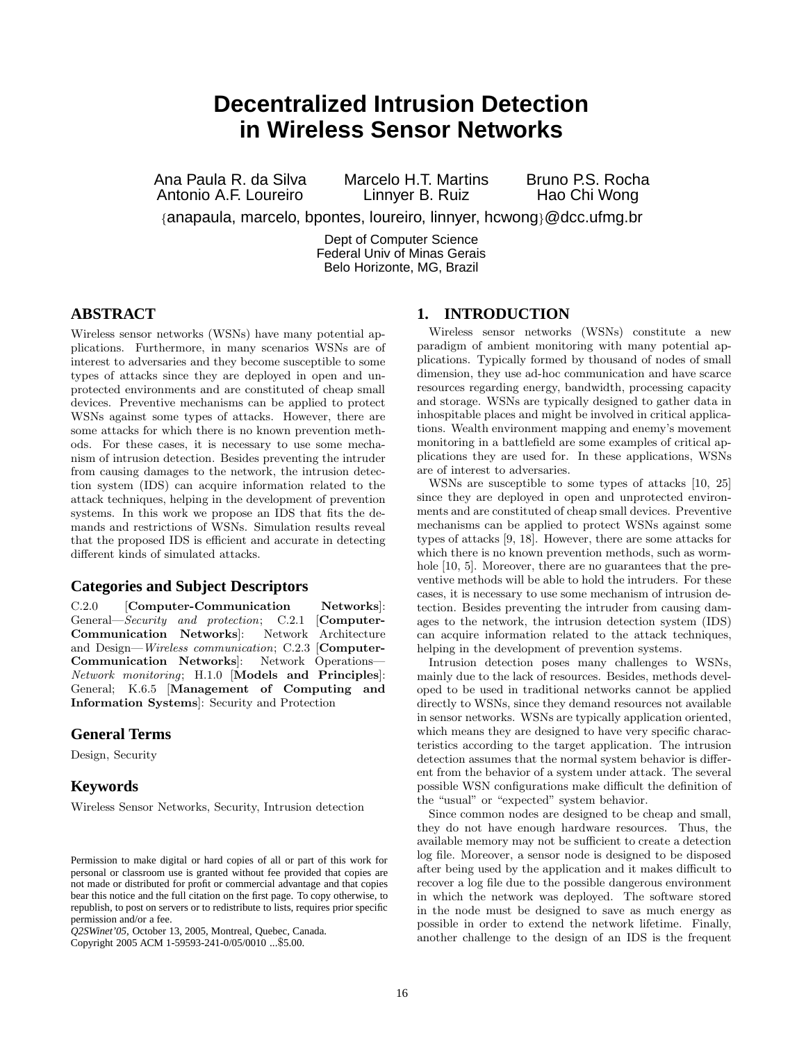# **Decentralized Intrusion Detection in Wireless Sensor Networks**

Ana Paula R. da Silva Marcelo H.T. Martins Bruno P.S. Rocha<br>Antonio A.F. Loureiro Linnyer B. Ruiz Hao Chi Wong Antonio A.F. Loureiro

*{*anapaula, marcelo, bpontes, loureiro, linnyer, hcwong*}*@dcc.ufmg.br

Dept of Computer Science Federal Univ of Minas Gerais Belo Horizonte, MG, Brazil

## **ABSTRACT**

Wireless sensor networks (WSNs) have many potential applications. Furthermore, in many scenarios WSNs are of interest to adversaries and they become susceptible to some types of attacks since they are deployed in open and unprotected environments and are constituted of cheap small devices. Preventive mechanisms can be applied to protect WSNs against some types of attacks. However, there are some attacks for which there is no known prevention methods. For these cases, it is necessary to use some mechanism of intrusion detection. Besides preventing the intruder from causing damages to the network, the intrusion detection system (IDS) can acquire information related to the attack techniques, helping in the development of prevention systems. In this work we propose an IDS that fits the demands and restrictions of WSNs. Simulation results reveal that the proposed IDS is efficient and accurate in detecting different kinds of simulated attacks.

## **Categories and Subject Descriptors**

C.2.0 [**Computer-Communication Networks**]: General—*Security and protection*; C.2.1 [**Computer-Communication Networks**]: Network Architecture and Design—*Wireless communication*; C.2.3 [**Computer-Communication Networks**: *Network monitoring*; H.1.0 [**Models and Principles**]: General; K.6.5 [**Management of Computing and Information Systems**]: Security and Protection

## **General Terms**

Design, Security

## **Keywords**

Wireless Sensor Networks, Security, Intrusion detection

Copyright 2005 ACM 1-59593-241-0/05/0010 ...\$5.00.

## **1. INTRODUCTION**

Wireless sensor networks (WSNs) constitute a new paradigm of ambient monitoring with many potential applications. Typically formed by thousand of nodes of small dimension, they use ad-hoc communication and have scarce resources regarding energy, bandwidth, processing capacity and storage. WSNs are typically designed to gather data in inhospitable places and might be involved in critical applications. Wealth environment mappingand enemy's movement monitoring in a battlefield are some examples of critical applications they are used for. In these applications, WSNs are of interest to adversaries.

WSNs are susceptible to some types of attacks [10, 25] since they are deployed in open and unprotected environments and are constituted of cheap small devices. Preventive mechanisms can be applied to protect WSNs against some types of attacks [9, 18]. However, there are some attacks for which there is no known prevention methods, such as wormhole [10, 5]. Moreover, there are no guarantees that the preventive methods will be able to hold the intruders. For these cases, it is necessary to use some mechanism of intrusion detection. Besides preventing the intruder from causing damages to the network, the intrusion detection system (IDS) can acquire information related to the attack techniques, helping in the development of prevention systems.

Intrusion detection poses many challenges to WSNs, mainly due to the lack of resources. Besides, methods developed to be used in traditional networks cannot be applied directly to WSNs, since they demand resources not available in sensor networks. WSNs are typically application oriented, which means they are designed to have very specific characteristics according to the target application. The intrusion detection assumes that the normal system behavior is different from the behavior of a system under attack. The several possible WSN configurations make difficult the definition of the "usual" or "expected" system behavior.

Since common nodes are designed to be cheap and small, they do not have enough hardware resources. Thus, the available memory may not be sufficient to create a detection log file. Moreover, a sensor node is designed to be disposed after being used by the application and it makes difficult to recover a log file due to the possible dangerous environment in which the network was deployed. The software stored in the node must be designed to save as much energy as possible in order to extend the network lifetime. Finally, another challenge to the design of an IDS is the frequent

Permission to make digital or hard copies of all or part of this work for personal or classroom use is granted without fee provided that copies are not made or distributed for profit or commercial advantage and that copies bear this notice and the full citation on the first page. To copy otherwise, to republish, to post on servers or to redistribute to lists, requires prior specific permission and/or a fee.

*Q2SWinet'05,* October 13, 2005, Montreal, Quebec, Canada.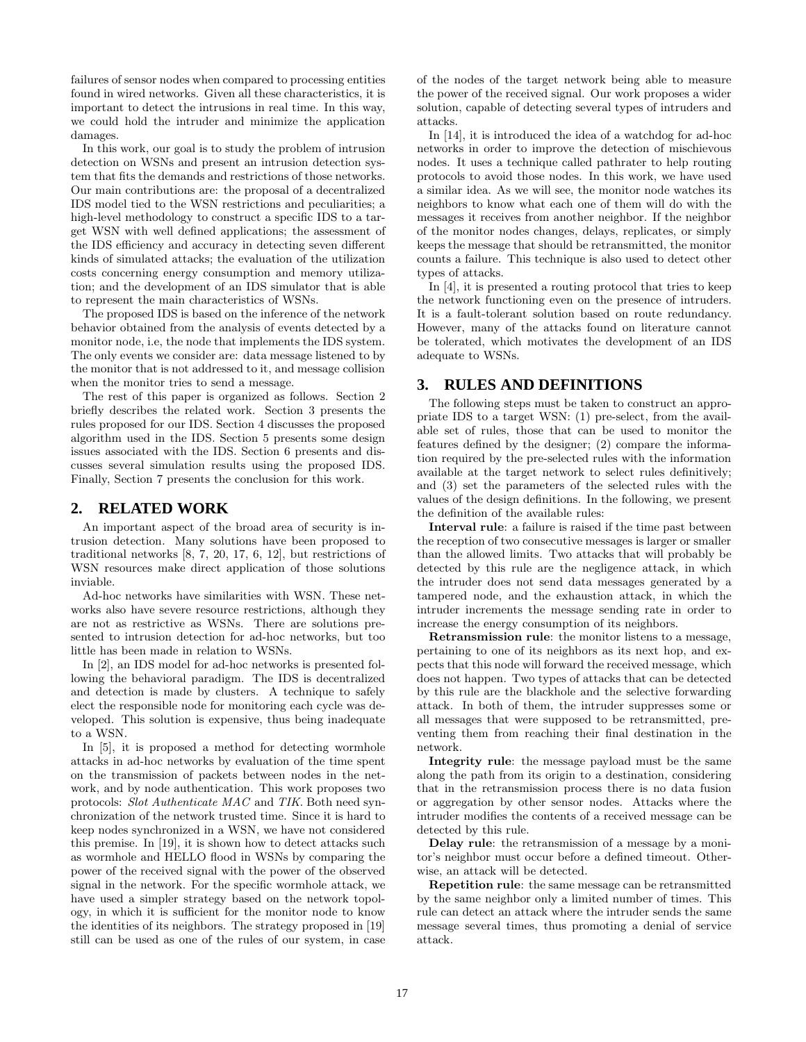failures of sensor nodes when compared to processingentities found in wired networks. Given all these characteristics, it is important to detect the intrusions in real time. In this way, we could hold the intruder and minimize the application damages.

In this work, our goal is to study the problem of intrusion detection on WSNs and present an intrusion detection system that fits the demands and restrictions of those networks. Our main contributions are: the proposal of a decentralized IDS model tied to the WSN restrictions and peculiarities; a high-level methodology to construct a specific IDS to a target WSN with well defined applications; the assessment of the IDS efficiency and accuracy in detecting seven different kinds of simulated attacks; the evaluation of the utilization costs concerning energy consumption and memory utilization; and the development of an IDS simulator that is able to represent the main characteristics of WSNs.

The proposed IDS is based on the inference of the network behavior obtained from the analysis of events detected by a monitor node, i.e, the node that implements the IDS system. The only events we consider are: data message listened to by the monitor that is not addressed to it, and message collision when the monitor tries to send a message.

The rest of this paper is organized as follows. Section 2 briefly describes the related work. Section 3 presents the rules proposed for our IDS. Section 4 discusses the proposed algorithm used in the IDS. Section 5 presents some design issues associated with the IDS. Section 6 presents and discusses several simulation results using the proposed IDS. Finally, Section 7 presents the conclusion for this work.

## **2. RELATED WORK**

An important aspect of the broad area of security is intrusion detection. Many solutions have been proposed to traditional networks [8, 7, 20, 17, 6, 12], but restrictions of WSN resources make direct application of those solutions inviable.

Ad-hoc networks have similarities with WSN. These networks also have severe resource restrictions, although they are not as restrictive as WSNs. There are solutions presented to intrusion detection for ad-hoc networks, but too little has been made in relation to WSNs.

In [2], an IDS model for ad-hoc networks is presented following the behavioral paradigm. The IDS is decentralized and detection is made by clusters. A technique to safely elect the responsible node for monitoring each cycle was developed. This solution is expensive, thus being inadequate to a WSN.

In  $[5]$ , it is proposed a method for detecting wormhole attacks in ad-hoc networks by evaluation of the time spent on the transmission of packets between nodes in the network, and by node authentication. This work proposes two protocols: *Slot Authenticate MAC* and *TIK*. Both need synchronization of the network trusted time. Since it is hard to keep nodes synchronized in a WSN, we have not considered this premise. In [19], it is shown how to detect attacks such as wormhole and HELLO flood in WSNs by comparing the power of the received signal with the power of the observed signal in the network. For the specific wormhole attack, we have used a simpler strategy based on the network topology, in which it is sufficient for the monitor node to know the identities of its neighbors. The strategy proposed in [19] still can be used as one of the rules of our system, in case of the nodes of the target network being able to measure the power of the received signal. Our work proposes a wider solution, capable of detecting several types of intruders and attacks.

In  $[14]$ , it is introduced the idea of a watchdog for ad-hoc networks in order to improve the detection of mischievous nodes. It uses a technique called pathrater to help routing protocols to avoid those nodes. In this work, we have used a similar idea. As we will see, the monitor node watches its neighbors to know what each one of them will do with the messages it receives from another neighbor. If the neighbor of the monitor nodes changes, delays, replicates, or simply keeps the message that should be retransmitted, the monitor counts a failure. This technique is also used to detect other types of attacks.

In  $[4]$ , it is presented a routing protocol that tries to keep the network functioning even on the presence of intruders. It is a fault-tolerant solution based on route redundancy. However, many of the attacks found on literature cannot be tolerated, which motivates the development of an IDS adequate to WSNs.

## **3. RULES AND DEFINITIONS**

The following steps must be taken to construct an appropriate IDS to a target WSN: (1) pre-select, from the available set of rules, those that can be used to monitor the features defined by the designer; (2) compare the information required by the pre-selected rules with the information available at the target network to select rules definitively; and (3) set the parameters of the selected rules with the values of the design definitions. In the following, we present the definition of the available rules:

**Interval rule**: a failure is raised if the time past between the reception of two consecutive messages is larger or smaller than the allowed limits. Two attacks that will probably be detected by this rule are the negligence attack, in which the intruder does not send data messages generated by a tampered node, and the exhaustion attack, in which the intruder increments the message sending rate in order to increase the energy consumption of its neighbors.

**Retransmission rule**: the monitor listens to a message, pertaining to one of its neighbors as its next hop, and expects that this node will forward the received message, which does not happen. Two types of attacks that can be detected by this rule are the blackhole and the selective forwarding attack. In both of them, the intruder suppresses some or all messages that were supposed to be retransmitted, preventing them from reaching their final destination in the network.

**Integrity rule**: the message payload must be the same along the path from its origin to a destination, considering that in the retransmission process there is no data fusion or aggregation by other sensor nodes. Attacks where the intruder modifies the contents of a received message can be detected by this rule.

**Delay rule**: the retransmission of a message by a monitor's neighbor must occur before a defined timeout. Otherwise, an attack will be detected.

**Repetition rule**: the same message can be retransmitted by the same neighbor only a limited number of times. This rule can detect an attack where the intruder sends the same message several times, thus promoting a denial of service attack.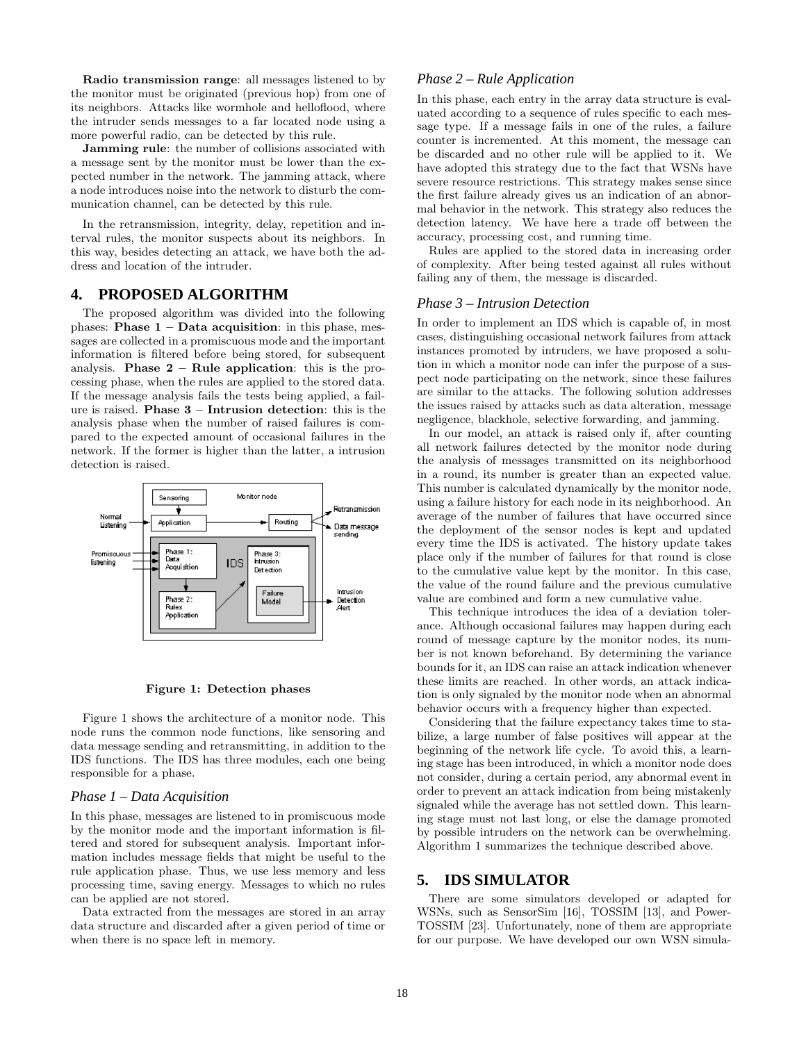**Radio transmission range**: all messages listened to by the monitor must be originated (previous hop) from one of its neighbors. Attacks like wormhole and helloflood, where the intruder sends messages to a far located node using a more powerful radio, can be detected by this rule.

**Jamming rule**: the number of collisions associated with a message sent by the monitor must be lower than the expected number in the network. The jamming attack, where a node introduces noise into the network to disturb the communication channel, can be detected by this rule.

In the retransmission, integrity, delay, repetition and interval rules, the monitor suspects about its neighbors. In this way, besides detecting an attack, we have both the address and location of the intruder.

## **4. PROPOSED ALGORITHM**

The proposed algorithm was divided into the following phases: **Phase 1– Data acquisition**: in this phase, messages are collected in a promiscuous mode and the important information is filtered before being stored, for subsequent analysis. **Phase 2 – Rule application**: this is the processing phase, when the rules are applied to the stored data. If the message analysis fails the tests being applied, a failure is raised. **Phase 3 – Intrusion detection**: this is the analysis phase when the number of raised failures is compared to the expected amount of occasional failures in the network. If the former is higher than the latter, a intrusion detection is raised.



**Figure 1: Detection phases**

Figure 1 shows the architecture of a monitor node. This node runs the common node functions, like sensoring and data message sending and retransmitting, in addition to the IDS functions. The IDS has three modules, each one being responsible for a phase.

#### *Phase 1 – Data Acquisition*

In this phase, messages are listened to in promiscuous mode by the monitor mode and the important information is filtered and stored for subsequent analysis. Important information includes message fields that might be useful to the rule application phase. Thus, we use less memory and less processing time, saving energy. Messages to which no rules can be applied are not stored.

Data extracted from the messages are stored in an array data structure and discarded after a given period of time or when there is no space left in memory.

#### *Phase 2 – Rule Application*

In this phase, each entry in the array data structure is evaluated according to a sequence of rules specific to each message type. If a message fails in one of the rules, a failure counter is incremented. At this moment, the message can be discarded and no other rule will be applied to it. We have adopted this strategy due to the fact that WSNs have severe resource restrictions. This strategy makes sense since the first failure already gives us an indication of an abnormal behavior in the network. This strategy also reduces the detection latency. We have here a trade off between the accuracy, processing cost, and running time.

Rules are applied to the stored data in increasing order of complexity. After being tested against all rules without failing any of them, the message is discarded.

## *Phase 3 – Intrusion Detection*

In order to implement an IDS which is capable of, in most cases, distinguishing occasional network failures from attack instances promoted by intruders, we have proposed a solution in which a monitor node can infer the purpose of a suspect node participating on the network, since these failures are similar to the attacks. The following solution addresses the issues raised by attacks such as data alteration, message negligence, blackhole, selective forwarding, and jamming.

In our model, an attack is raised only if, after counting all network failures detected by the monitor node during the analysis of messages transmitted on its neighborhood in a round, its number is greater than an expected value. This number is calculated dynamically by the monitor node, usinga failure history for each node in its neighborhood. An average of the number of failures that have occurred since the deployment of the sensor nodes is kept and updated every time the IDS is activated. The history update takes place only if the number of failures for that round is close to the cumulative value kept by the monitor. In this case, the value of the round failure and the previous cumulative value are combined and form a new cumulative value.

This technique introduces the idea of a deviation tolerance. Although occasional failures may happen during each round of message capture by the monitor nodes, its number is not known beforehand. By determining the variance bounds for it, an IDS can raise an attack indication whenever these limits are reached. In other words, an attack indication is only signaled by the monitor node when an abnormal behavior occurs with a frequency higher than expected.

Considering that the failure expectancy takes time to stabilize, a large number of false positives will appear at the beginning of the network life cycle. To avoid this, a learning stage has been introduced, in which a monitor node does not consider, duringa certain period, any abnormal event in order to prevent an attack indication from being mistakenly signaled while the average has not settled down. This learning stage must not last long, or else the damage promoted by possible intruders on the network can be overwhelming. Algorithm 1 summarizes the technique described above.

## **5. IDS SIMULATOR**

There are some simulators developed or adapted for WSNs, such as SensorSim [16], TOSSIM [13], and Power-TOSSIM [23]. Unfortunately, none of them are appropriate for our purpose. We have developed our own WSN simula-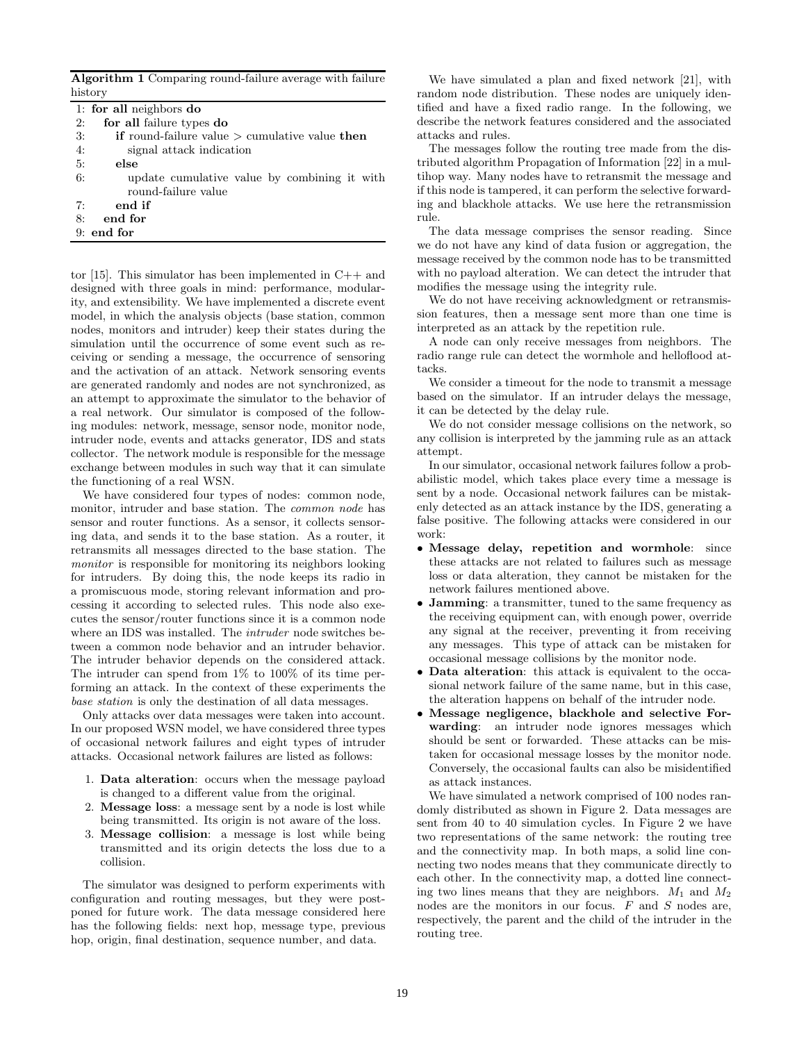Algorithm 1 Comparing round-failure average with failure history

|    | 1: for all neighbors $d\mathbf{o}$                                  |
|----|---------------------------------------------------------------------|
| 2: | for all failure types do                                            |
| 3: | if round-failure value $>$ cumulative value then                    |
| 4: | signal attack indication                                            |
| 5: | else                                                                |
| 6: | update cumulative value by combining it with<br>round-failure value |
| 7: | end if                                                              |
| 8: | end for                                                             |
|    | $9:$ end for                                                        |

tor [15]. This simulator has been implemented in  $C++$  and designed with three goals in mind: performance, modularity, and extensibility. We have implemented a discrete event model, in which the analysis objects (base station, common nodes, monitors and intruder) keep their states during the simulation until the occurrence of some event such as receiving or sending a message, the occurrence of sensoring and the activation of an attack. Network sensoring events are generated randomly and nodes are not synchronized, as an attempt to approximate the simulator to the behavior of a real network. Our simulator is composed of the following modules: network, message, sensor node, monitor node, intruder node, events and attacks generator, IDS and stats collector. The network module is responsible for the message exchange between modules in such way that it can simulate the functioning of a real WSN.

We have considered four types of nodes: common node, monitor, intruder and base station. The *common node* has sensor and router functions. As a sensor, it collects sensoring data, and sends it to the base station. As a router, it retransmits all messages directed to the base station. The *monitor* is responsible for monitoring its neighbors looking for intruders. By doing this, the node keeps its radio in a promiscuous mode, storing relevant information and processing it according to selected rules. This node also executes the sensor/router functions since it is a common node where an IDS was installed. The *intruder* node switches between a common node behavior and an intruder behavior. The intruder behavior depends on the considered attack. The intruder can spend from 1% to 100% of its time performingan attack. In the context of these experiments the *base station* is only the destination of all data messages.

Only attacks over data messages were taken into account. In our proposed WSN model, we have considered three types of occasional network failures and eight types of intruder attacks. Occasional network failures are listed as follows:

- 1. **Data alteration**: occurs when the message payload is changed to a different value from the original.
- 2. **Message loss**: a message sent by a node is lost while being transmitted. Its origin is not aware of the loss.
- 3. **Message collision**: a message is lost while being transmitted and its origin detects the loss due to a collision.

The simulator was designed to perform experiments with configuration and routing messages, but they were postponed for future work. The data message considered here has the following fields: next hop, message type, previous hop, origin, final destination, sequence number, and data.

We have simulated a plan and fixed network [21], with random node distribution. These nodes are uniquely identified and have a fixed radio range. In the following, we describe the network features considered and the associated attacks and rules.

The messages follow the routing tree made from the distributed algorithm Propagation of Information [22] in a multihop way. Many nodes have to retransmit the message and if this node is tampered, it can perform the selective forwarding and blackhole attacks. We use here the retransmission rule.

The data message comprises the sensor reading. Since we do not have any kind of data fusion or aggregation, the message received by the common node has to be transmitted with no payload alteration. We can detect the intruder that modifies the message using the integrity rule.

We do not have receiving acknowledgment or retransmission features, then a message sent more than one time is interpreted as an attack by the repetition rule.

A node can only receive messages from neighbors. The radio range rule can detect the wormhole and helloflood attacks.

We consider a timeout for the node to transmit a message based on the simulator. If an intruder delays the message, it can be detected by the delay rule.

We do not consider message collisions on the network, so any collision is interpreted by the jamming rule as an attack attempt.

In our simulator, occasional network failures follow a probabilistic model, which takes place every time a message is sent by a node. Occasional network failures can be mistakenly detected as an attack instance by the IDS, generating a false positive. The following attacks were considered in our work:

- *•* **Message delay, repetition and wormhole**: since these attacks are not related to failures such as message loss or data alteration, they cannot be mistaken for the network failures mentioned above.
- *•* **Jamming**: a transmitter, tuned to the same frequency as the receiving equipment can, with enough power, override any signal at the receiver, preventing it from receiving any messages. This type of attack can be mistaken for occasional message collisions by the monitor node.
- *•* **Data alteration**: this attack is equivalent to the occasional network failure of the same name, but in this case, the alteration happens on behalf of the intruder node.
- *•* **Message negligence, blackhole and selective Forwarding**: an intruder node ignores messages which should be sent or forwarded. These attacks can be mistaken for occasional message losses by the monitor node. Conversely, the occasional faults can also be misidentified as attack instances.

We have simulated a network comprised of 100 nodes randomly distributed as shown in Figure 2. Data messages are sent from 40 to 40 simulation cycles. In Figure 2 we have two representations of the same network: the routing tree and the connectivity map. In both maps, a solid line connecting two nodes means that they communicate directly to each other. In the connectivity map, a dotted line connecting two lines means that they are neighbors.  $M_1$  and  $M_2$ nodes are the monitors in our focus. *F* and *S* nodes are, respectively, the parent and the child of the intruder in the routing tree.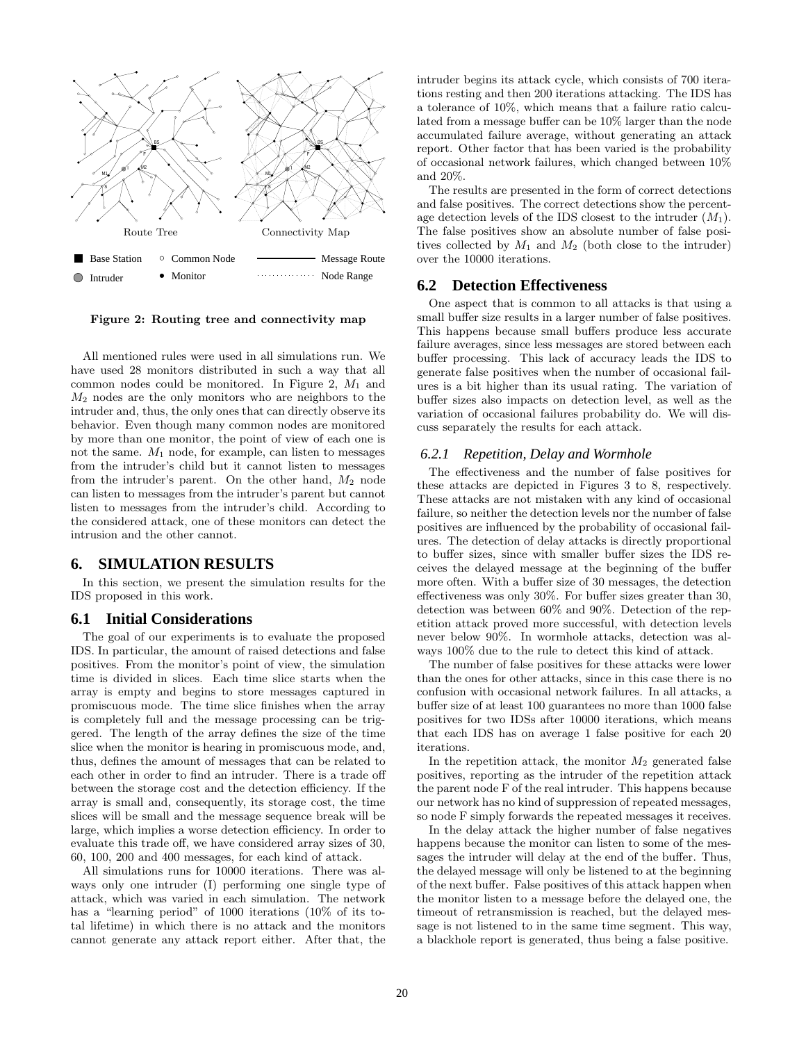

**Figure 2: Routing tree and connectivity map**

All mentioned rules were used in all simulations run. We have used 28 monitors distributed in such a way that all common nodes could be monitored. In Figure 2, *<sup>M</sup>*<sup>1</sup> and *<sup>M</sup>*<sup>2</sup> nodes are the only monitors who are neighbors to the intruder and, thus, the only ones that can directly observe its behavior. Even though many common nodes are monitored by more than one monitor, the point of view of each one is not the same. *<sup>M</sup>*<sup>1</sup> node, for example, can listen to messages from the intruder's child but it cannot listen to messages from the intruder's parent. On the other hand,  $M_2$  node can listen to messages from the intruder's parent but cannot listen to messages from the intruder's child. According to the considered attack, one of these monitors can detect the intrusion and the other cannot.

#### **6. SIMULATION RESULTS**

In this section, we present the simulation results for the IDS proposed in this work.

#### **6.1 Initial Considerations**

The goal of our experiments is to evaluate the proposed IDS. In particular, the amount of raised detections and false positives. From the monitor's point of view, the simulation time is divided in slices. Each time slice starts when the array is empty and begins to store messages captured in promiscuous mode. The time slice finishes when the array is completely full and the message processing can be triggered. The length of the array defines the size of the time slice when the monitor is hearing in promiscuous mode, and, thus, defines the amount of messages that can be related to each other in order to find an intruder. There is a trade off between the storage cost and the detection efficiency. If the array is small and, consequently, its storage cost, the time slices will be small and the message sequence break will be large, which implies a worse detection efficiency. In order to evaluate this trade off, we have considered array sizes of 30, 60, 100, 200 and 400 messages, for each kind of attack.

All simulations runs for 10000 iterations. There was always only one intruder (I) performing one single type of attack, which was varied in each simulation. The network has a "learning period" of 1000 iterations  $(10\% \text{ of its to-}$ tal lifetime) in which there is no attack and the monitors cannot generate any attack report either. After that, the intruder begins its attack cycle, which consists of 700 iterations restingand then 200 iterations attacking. The IDS has a tolerance of 10%, which means that a failure ratio calculated from a message buffer can be 10% larger than the node accumulated failure average, without generating an attack report. Other factor that has been varied is the probability of occasional network failures, which changed between 10% and 20%.

The results are presented in the form of correct detections and false positives. The correct detections show the percentage detection levels of the IDS closest to the intruder (*M*<sup>1</sup>). The false positives show an absolute number of false positives collected by *<sup>M</sup>*<sup>1</sup> and *<sup>M</sup>*<sup>2</sup> (both close to the intruder) over the 10000 iterations.

## **6.2 Detection Effectiveness**

One aspect that is common to all attacks is that using a small buffer size results in a larger number of false positives. This happens because small buffers produce less accurate failure averages, since less messages are stored between each buffer processing. This lack of accuracy leads the IDS to generate false positives when the number of occasional failures is a bit higher than its usual rating. The variation of buffer sizes also impacts on detection level, as well as the variation of occasional failures probability do. We will discuss separately the results for each attack.

#### *6.2.1 Repetition, Delay and Wormhole*

The effectiveness and the number of false positives for these attacks are depicted in Figures 3 to 8, respectively. These attacks are not mistaken with any kind of occasional failure, so neither the detection levels nor the number of false positives are influenced by the probability of occasional failures. The detection of delay attacks is directly proportional to buffer sizes, since with smaller buffer sizes the IDS receives the delayed message at the beginning of the buffer more often. With a buffer size of 30 messages, the detection effectiveness was only 30%. For buffer sizes greater than 30, detection was between 60% and 90%. Detection of the repetition attack proved more successful, with detection levels never below 90%. In wormhole attacks, detection was always 100% due to the rule to detect this kind of attack.

The number of false positives for these attacks were lower than the ones for other attacks, since in this case there is no confusion with occasional network failures. In all attacks, a buffer size of at least 100 guarantees no more than 1000 false positives for two IDSs after 10000 iterations, which means that each IDS has on average 1 false positive for each 20 iterations.

In the repetition attack, the monitor  $M_2$  generated false positives, reportingas the intruder of the repetition attack the parent node F of the real intruder. This happens because our network has no kind of suppression of repeated messages, so node F simply forwards the repeated messages it receives.

In the delay attack the higher number of false negatives happens because the monitor can listen to some of the messages the intruder will delay at the end of the buffer. Thus, the delayed message will only be listened to at the beginning of the next buffer. False positives of this attack happen when the monitor listen to a message before the delayed one, the timeout of retransmission is reached, but the delayed message is not listened to in the same time segment. This way, a blackhole report is generated, thus being a false positive.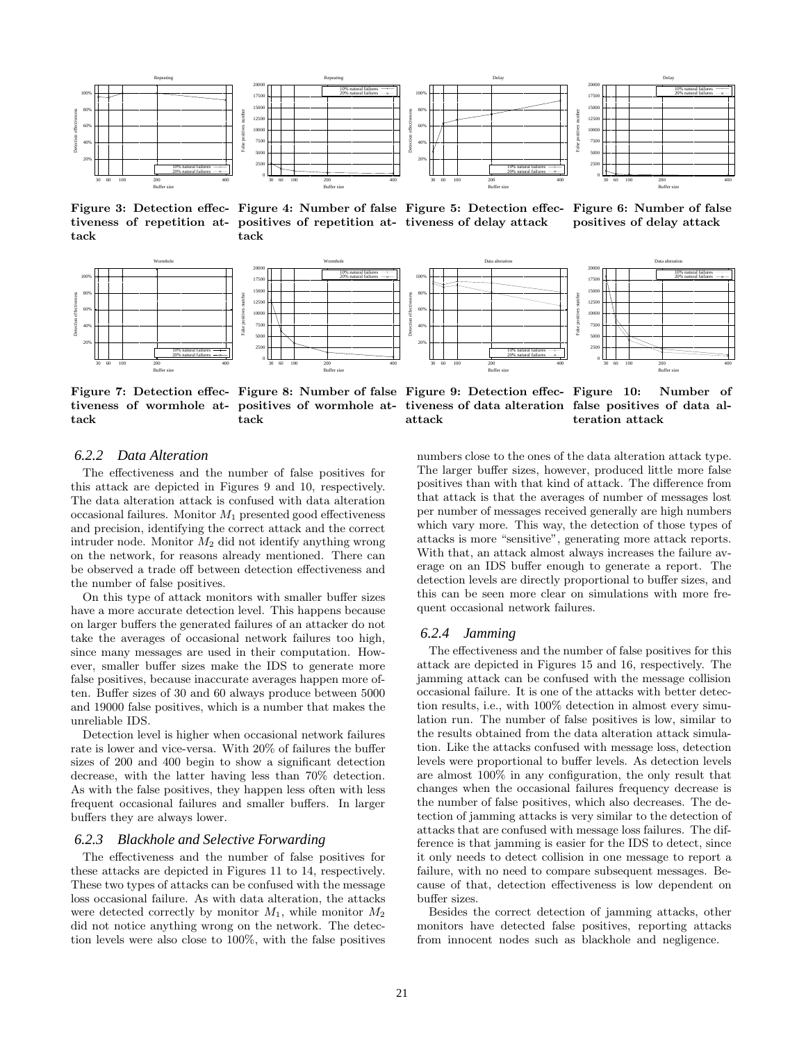

**tiveness of repetition at-positives of repetition at-tiveness of delay attack tack tack**



 $500$ 750 10000 <sub>1250</sub> 15000 1750 20000 Wormhole 10% natural failures 20% natural failures

**Figure 3: Detection effec-Figure 4: Number of false Figure 5: Detection effec-Figure 6: Number of false positives of delay attack**



**tack tack**

30 60 100 200 400 Buffer size

 0 2500

**Figure 7: Detection effec-Figure 8: Number of false Figure 9: Detection effec-Figure 10: Number of tiveness of wormhole at-positives of wormhole at-tiveness of data alteration false positives of data alattack teration attack**

## *6.2.2 Data Alteration*

The effectiveness and the number of false positives for this attack are depicted in Figures 9 and 10, respectively. The data alteration attack is confused with data alteration occasional failures. Monitor *<sup>M</sup>*<sup>1</sup> presented good effectiveness and precision, identifying the correct attack and the correct intruder node. Monitor  $M_2$  did not identify anything wrong on the network, for reasons already mentioned. There can be observed a trade off between detection effectiveness and the number of false positives.

On this type of attack monitors with smaller buffer sizes have a more accurate detection level. This happens because on larger buffers the generated failures of an attacker do not take the averages of occasional network failures too high, since many messages are used in their computation. However, smaller buffer sizes make the IDS to generate more false positives, because inaccurate averages happen more often. Buffer sizes of 30 and 60 always produce between 5000 and 19000 false positives, which is a number that makes the unreliable IDS.

Detection level is higher when occasional network failures rate is lower and vice-versa. With 20% of failures the buffer sizes of 200 and 400 begin to show a significant detection decrease, with the latter having less than 70% detection. As with the false positives, they happen less often with less frequent occasional failures and smaller buffers. In larger buffers they are always lower.

#### *6.2.3 Blackhole and Selective Forwarding*

The effectiveness and the number of false positives for these attacks are depicted in Figures 11 to 14, respectively. These two types of attacks can be confused with the message loss occasional failure. As with data alteration, the attacks were detected correctly by monitor  $M_1$ , while monitor  $M_2$ did not notice anything wrong on the network. The detection levels were also close to 100%, with the false positives numbers close to the ones of the data alteration attack type. The larger buffer sizes, however, produced little more false positives than with that kind of attack. The difference from that attack is that the averages of number of messages lost per number of messages received generally are high numbers which vary more. This way, the detection of those types of attacks is more "sensitive", generating more attack reports. With that, an attack almost always increases the failure average on an IDS buffer enough to generate a report. The detection levels are directly proportional to buffer sizes, and this can be seen more clear on simulations with more frequent occasional network failures.

## *6.2.4 Jamming*

The effectiveness and the number of false positives for this attack are depicted in Figures 15 and 16, respectively. The jamming attack can be confused with the message collision occasional failure. It is one of the attacks with better detection results, i.e., with 100% detection in almost every simulation run. The number of false positives is low, similar to the results obtained from the data alteration attack simulation. Like the attacks confused with message loss, detection levels were proportional to buffer levels. As detection levels are almost 100% in any configuration, the only result that changes when the occasional failures frequency decrease is the number of false positives, which also decreases. The detection of jammingattacks is very similar to the detection of attacks that are confused with message loss failures. The difference is that jamming is easier for the IDS to detect, since it only needs to detect collision in one message to report a failure, with no need to compare subsequent messages. Because of that, detection effectiveness is low dependent on buffer sizes.

Besides the correct detection of jamming attacks, other monitors have detected false positives, reporting attacks from innocent nodes such as blackhole and negligence.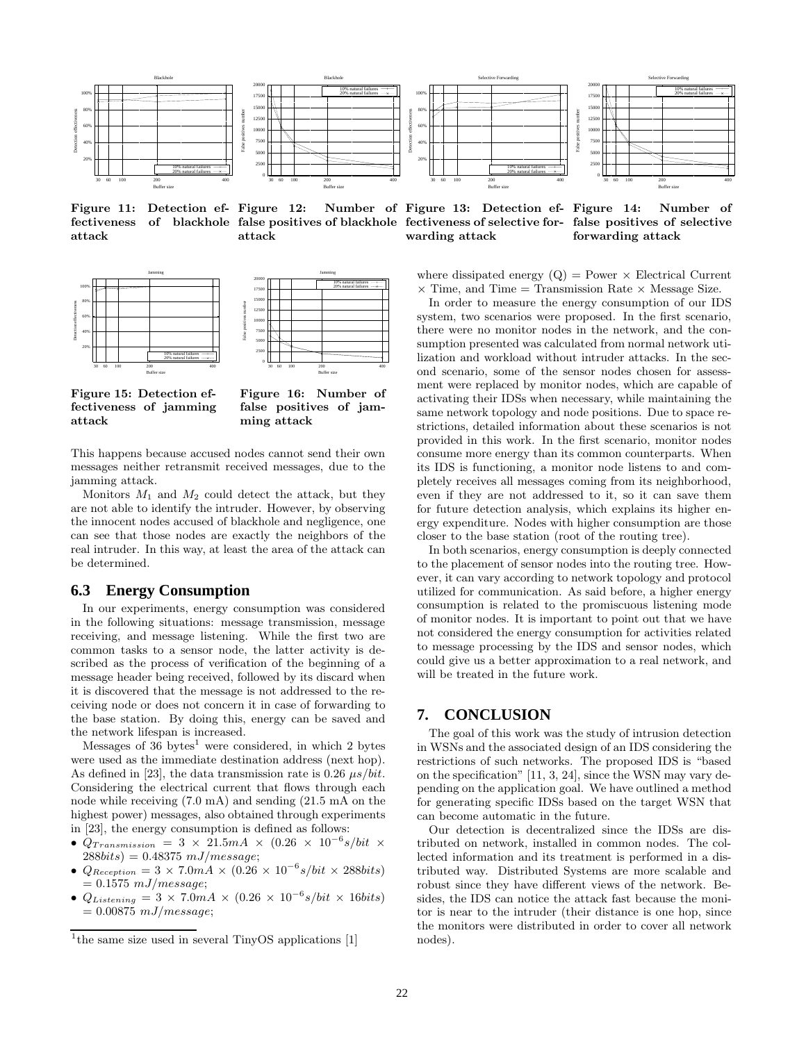

Figure 11: Detection ef- Figure 12: **attack attack**





**Figure 15: Detection effectiveness of jamming attack**

**Figure 16: Number of false positives of jamming attack**

This happens because accused nodes cannot send their own messages neither retransmit received messages, due to the jamming attack.

Monitors  $M_1$  and  $M_2$  could detect the attack, but they are not able to identify the intruder. However, by observing the innocent nodes accused of blackhole and negligence, one can see that those nodes are exactly the neighbors of the real intruder. In this way, at least the area of the attack can be determined.

## **6.3 Energy Consumption**

In our experiments, energy consumption was considered in the following situations: message transmission, message receiving, and message listening. While the first two are common tasks to a sensor node, the latter activity is described as the process of verification of the beginning of a message header being received, followed by its discard when it is discovered that the message is not addressed to the receiving node or does not concern it in case of forwarding to the base station. By doing this, energy can be saved and the network lifespan is increased.

Messages of  $36 \text{ bytes}^1$  were considered, in which 2 bytes were used as the immediate destination address (next hop). As defined in [23], the data transmission rate is 0.26 *µs/bit*. Considering the electrical current that flows through each node while receiving(7.0 mA) and sending(21.5 mA on the highest power) messages, also obtained through experiments in [23], the energy consumption is defined as follows:

- *• <sup>Q</sup>T ransmission* = 3 *<sup>×</sup>* 21.5*mA <sup>×</sup>* (0.26 *<sup>×</sup>* <sup>10</sup>*−*<sup>6</sup>*s/bit <sup>×</sup>* <sup>288</sup>*bits*) = 0.48375 *mJ/message*;
- *• <sup>Q</sup>Reception* = 3 *<sup>×</sup>* 7.0*mA <sup>×</sup>* (0.26 *<sup>×</sup>* <sup>10</sup>*−*<sup>6</sup>*s/bit <sup>×</sup>* <sup>288</sup>*bits*) = 0.1575 *mJ/message*;
- *• <sup>Q</sup>Listening* = 3 *<sup>×</sup>* 7.0*mA <sup>×</sup>* (0.26 *<sup>×</sup>* <sup>10</sup>*−*<sup>6</sup>*s/bit <sup>×</sup>* <sup>16</sup>*bits*) = 0.00875 *mJ/message*;

**fectiveness of blackhole false positives of blackhole fectiveness of selective for-false positives of selective Figure 12: Number of Figure 13: Detection efwarding attack** Number of **forwarding attack**

where dissipated energy  $(Q)$  = Power  $\times$  Electrical Current *×* Time, and Time = Transmission Rate *×* Message Size.

In order to measure the energy consumption of our IDS system, two scenarios were proposed. In the first scenario, there were no monitor nodes in the network, and the consumption presented was calculated from normal network utilization and workload without intruder attacks. In the second scenario, some of the sensor nodes chosen for assessment were replaced by monitor nodes, which are capable of activating their IDSs when necessary, while maintaining the same network topology and node positions. Due to space restrictions, detailed information about these scenarios is not provided in this work. In the first scenario, monitor nodes consume more energy than its common counterparts. When its IDS is functioning, a monitor node listens to and completely receives all messages coming from its neighborhood, even if they are not addressed to it, so it can save them for future detection analysis, which explains its higher energy expenditure. Nodes with higher consumption are those closer to the base station (root of the routing tree).

In both scenarios, energy consumption is deeply connected to the placement of sensor nodes into the routing tree. However, it can vary according to network topology and protocol utilized for communication. As said before, a higher energy consumption is related to the promiscuous listening mode of monitor nodes. It is important to point out that we have not considered the energy consumption for activities related to message processing by the IDS and sensor nodes, which could give us a better approximation to a real network, and will be treated in the future work.

## **7. CONCLUSION**

The goal of this work was the study of intrusion detection in WSNs and the associated design of an IDS considering the restrictions of such networks. The proposed IDS is "based on the specification" [11, 3, 24], since the WSN may vary dependingon the application goal. We have outlined a method for generating specific IDSs based on the target WSN that can become automatic in the future.

Our detection is decentralized since the IDSs are distributed on network, installed in common nodes. The collected information and its treatment is performed in a distributed way. Distributed Systems are more scalable and robust since they have different views of the network. Besides, the IDS can notice the attack fast because the monitor is near to the intruder (their distance is one hop, since the monitors were distributed in order to cover all network nodes).

 $^{\rm 1}{\rm the}$  same size used in several TinyOS applications  $[1]$